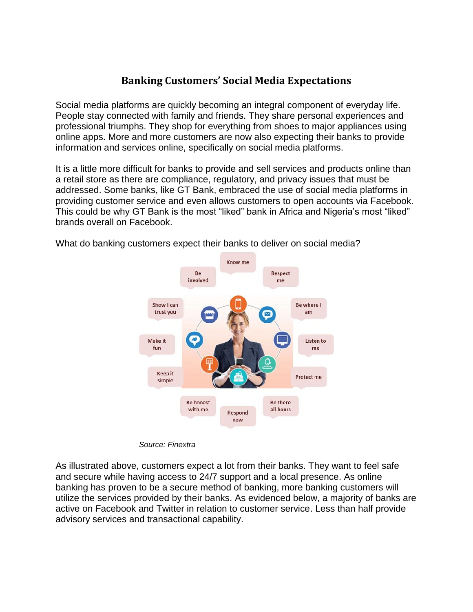## **Banking Customers' Social Media Expectations**

Social media platforms are quickly becoming an integral component of everyday life. People stay connected with family and friends. They share personal experiences and professional triumphs. They shop for everything from shoes to major appliances using online apps. More and more customers are now also expecting their banks to provide information and services online, specifically on social media platforms.

It is a little more difficult for banks to provide and sell services and products online than a retail store as there are compliance, regulatory, and privacy issues that must be addressed. Some banks, like GT Bank, embraced the use of social media platforms in providing customer service and even allows customers to open accounts via Facebook. This could be why GT Bank is the most "liked" bank in Africa and Nigeria's most "liked" brands overall on Facebook.



What do banking customers expect their banks to deliver on social media?

*Source: Finextra*

As illustrated above, customers expect a lot from their banks. They want to feel safe and secure while having access to 24/7 support and a local presence. As online banking has proven to be a secure method of banking, more banking customers will utilize the services provided by their banks. As evidenced below, a majority of banks are active on Facebook and Twitter in relation to customer service. Less than half provide advisory services and transactional capability.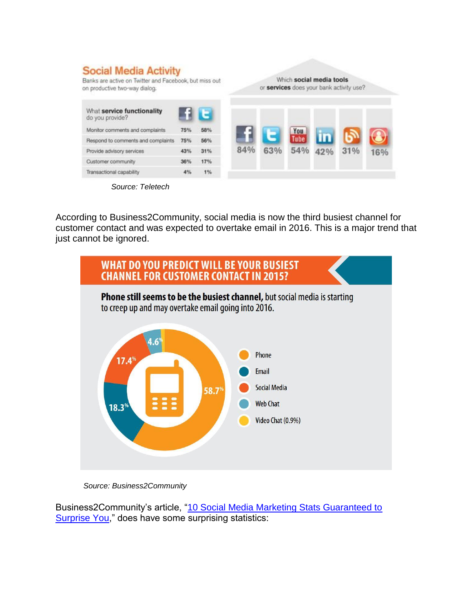| <b>Social Media Activity</b><br>Banks are active on Twitter and Facebook, but miss out<br>on productive two-way dialog. |     |     | Which social media tools<br>or services does your bank activity use? |     |     |     |     |     |
|-------------------------------------------------------------------------------------------------------------------------|-----|-----|----------------------------------------------------------------------|-----|-----|-----|-----|-----|
| What service functionality<br>do you provide?                                                                           |     | Е   |                                                                      |     |     |     |     |     |
| Monitor comments and complaints                                                                                         | 75% | 58% |                                                                      |     | You |     |     |     |
| Respond to comments and complaints                                                                                      | 75% | 56% |                                                                      |     |     |     |     |     |
| Provide advisory services                                                                                               | 43% | 31% | 84%                                                                  | 63% | 54% | 42% | 31% | 16% |
| Customer community                                                                                                      | 36% | 17% |                                                                      |     |     |     |     |     |
| Transactional capability                                                                                                | 4%  | 1%  |                                                                      |     |     |     |     |     |



According to Business2Community, social media is now the third busiest channel for customer contact and was expected to overtake email in 2016. This is a major trend that just cannot be ignored.



*Source: Business2Community*

Business2Community's article, ["10 Social Media Marketing Stats Guaranteed to](http://www.business2community.com/social-media/10-social-media-marketing-stats-guaranteed-surprise-01560350#buQPFb7QAGvYWP3H.97)  [Surprise You,](http://www.business2community.com/social-media/10-social-media-marketing-stats-guaranteed-surprise-01560350#buQPFb7QAGvYWP3H.97)" does have some surprising statistics: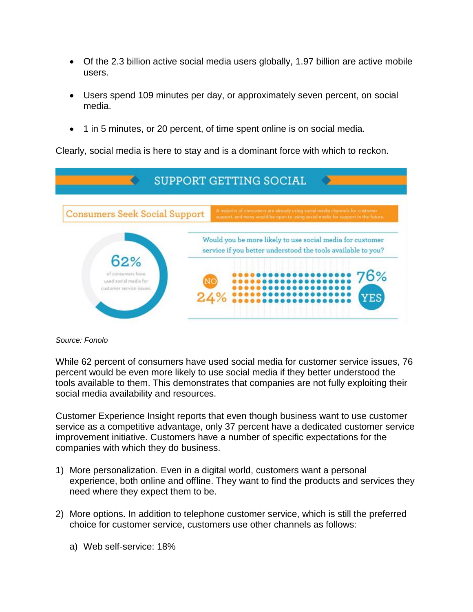- Of the 2.3 billion active social media users globally, 1.97 billion are active mobile users.
- Users spend 109 minutes per day, or approximately seven percent, on social media.
- 1 in 5 minutes, or 20 percent, of time spent online is on social media.

Clearly, social media is here to stay and is a dominant force with which to reckon.



## *Source: Fonolo*

While 62 percent of consumers have used social media for customer service issues, 76 percent would be even more likely to use social media if they better understood the tools available to them. This demonstrates that companies are not fully exploiting their social media availability and resources.

Customer Experience Insight reports that even though business want to use customer service as a competitive advantage, only 37 percent have a dedicated customer service improvement initiative. Customers have a number of specific expectations for the companies with which they do business.

- 1) More personalization. Even in a digital world, customers want a personal experience, both online and offline. They want to find the products and services they need where they expect them to be.
- 2) More options. In addition to telephone customer service, which is still the preferred choice for customer service, customers use other channels as follows:
	- a) Web self-service: 18%